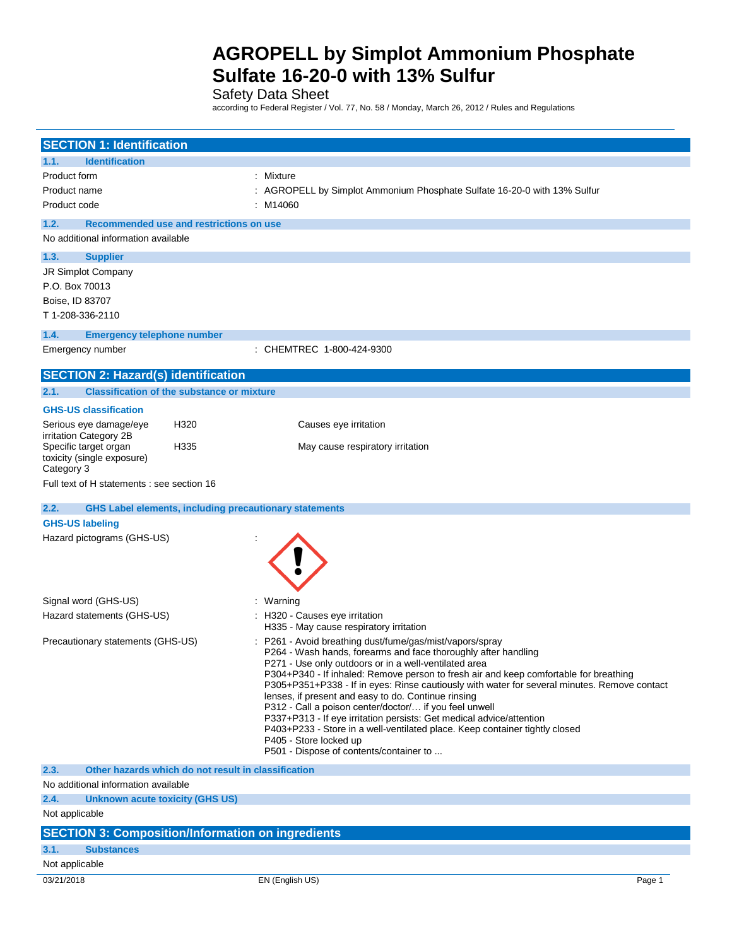Safety Data Sheet

according to Federal Register / Vol. 77, No. 58 / Monday, March 26, 2012 / Rules and Regulations

| <b>SECTION 1: Identification</b>                         |                                                               |                                                                                                                                                |  |
|----------------------------------------------------------|---------------------------------------------------------------|------------------------------------------------------------------------------------------------------------------------------------------------|--|
| 1.1.<br><b>Identification</b>                            |                                                               |                                                                                                                                                |  |
| Product form                                             |                                                               | : Mixture                                                                                                                                      |  |
| Product name                                             |                                                               | : AGROPELL by Simplot Ammonium Phosphate Sulfate 16-20-0 with 13% Sulfur                                                                       |  |
| Product code                                             |                                                               | : M14060                                                                                                                                       |  |
| 1.2.                                                     | Recommended use and restrictions on use                       |                                                                                                                                                |  |
| No additional information available                      |                                                               |                                                                                                                                                |  |
| 1.3.<br><b>Supplier</b>                                  |                                                               |                                                                                                                                                |  |
| JR Simplot Company                                       |                                                               |                                                                                                                                                |  |
| P.O. Box 70013                                           |                                                               |                                                                                                                                                |  |
| Boise, ID 83707                                          |                                                               |                                                                                                                                                |  |
| T 1-208-336-2110                                         |                                                               |                                                                                                                                                |  |
| 1.4.<br><b>Emergency telephone number</b>                |                                                               |                                                                                                                                                |  |
| Emergency number                                         |                                                               | : CHEMTREC 1-800-424-9300                                                                                                                      |  |
| <b>SECTION 2: Hazard(s) identification</b>               |                                                               |                                                                                                                                                |  |
| 2.1.                                                     | <b>Classification of the substance or mixture</b>             |                                                                                                                                                |  |
| <b>GHS-US classification</b>                             |                                                               |                                                                                                                                                |  |
| Serious eye damage/eye                                   | H320                                                          | Causes eye irritation                                                                                                                          |  |
| irritation Category 2B<br>Specific target organ          | H335                                                          | May cause respiratory irritation                                                                                                               |  |
| toxicity (single exposure)                               |                                                               |                                                                                                                                                |  |
| Category 3                                               |                                                               |                                                                                                                                                |  |
| Full text of H statements : see section 16               |                                                               |                                                                                                                                                |  |
| 2.2.                                                     | <b>GHS Label elements, including precautionary statements</b> |                                                                                                                                                |  |
| <b>GHS-US labeling</b>                                   |                                                               |                                                                                                                                                |  |
| Hazard pictograms (GHS-US)                               |                                                               |                                                                                                                                                |  |
|                                                          |                                                               |                                                                                                                                                |  |
|                                                          |                                                               |                                                                                                                                                |  |
|                                                          |                                                               |                                                                                                                                                |  |
| Signal word (GHS-US)                                     |                                                               | : Warning                                                                                                                                      |  |
| Hazard statements (GHS-US)                               |                                                               | : H320 - Causes eye irritation<br>H335 - May cause respiratory irritation                                                                      |  |
| Precautionary statements (GHS-US)                        |                                                               | P261 - Avoid breathing dust/fume/gas/mist/vapors/spray                                                                                         |  |
|                                                          |                                                               | P264 - Wash hands, forearms and face thoroughly after handling                                                                                 |  |
|                                                          |                                                               | P271 - Use only outdoors or in a well-ventilated area<br>P304+P340 - If inhaled: Remove person to fresh air and keep comfortable for breathing |  |
|                                                          |                                                               | P305+P351+P338 - If in eyes: Rinse cautiously with water for several minutes. Remove contact                                                   |  |
|                                                          |                                                               | lenses, if present and easy to do. Continue rinsing<br>P312 - Call a poison center/doctor/ if you feel unwell                                  |  |
|                                                          |                                                               | P337+P313 - If eye irritation persists: Get medical advice/attention                                                                           |  |
|                                                          |                                                               | P403+P233 - Store in a well-ventilated place. Keep container tightly closed                                                                    |  |
|                                                          |                                                               | P405 - Store locked up<br>P501 - Dispose of contents/container to                                                                              |  |
| 2.3.                                                     | Other hazards which do not result in classification           |                                                                                                                                                |  |
| No additional information available                      |                                                               |                                                                                                                                                |  |
| 2.4.<br><b>Unknown acute toxicity (GHS US)</b>           |                                                               |                                                                                                                                                |  |
| Not applicable                                           |                                                               |                                                                                                                                                |  |
| <b>SECTION 3: Composition/Information on ingredients</b> |                                                               |                                                                                                                                                |  |
| 3.1.<br><b>Substances</b>                                |                                                               |                                                                                                                                                |  |
| Not applicable                                           |                                                               |                                                                                                                                                |  |
| 03/21/2018                                               |                                                               | EN (English US)<br>Page 1                                                                                                                      |  |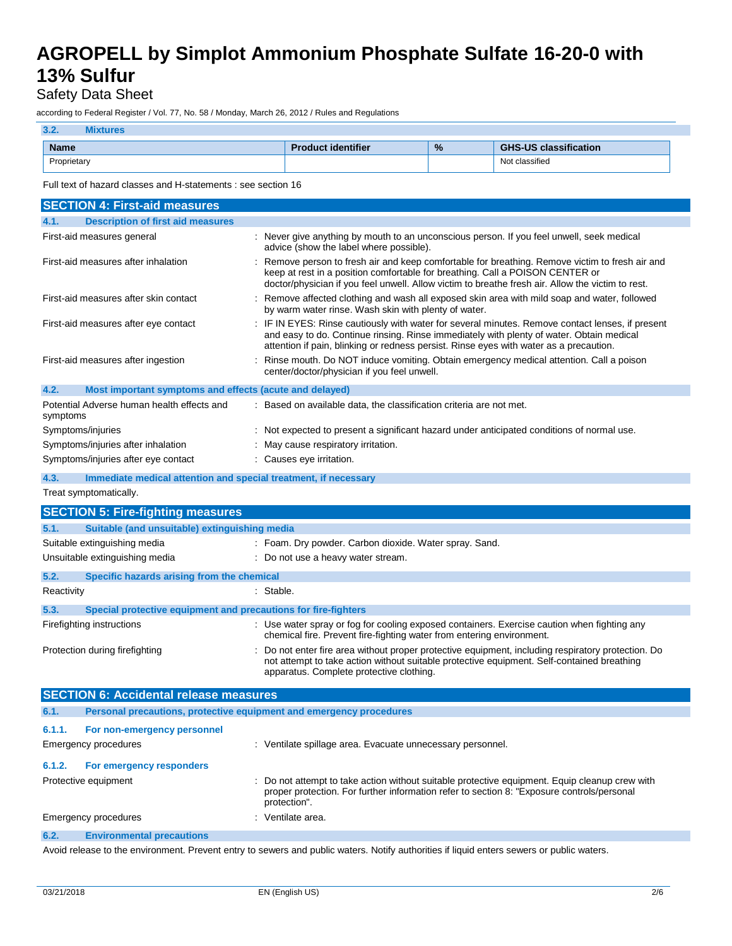### Safety Data Sheet

according to Federal Register / Vol. 77, No. 58 / Monday, March 26, 2012 / Rules and Regulations

### **3.2. Mixtures**

| <b>Name</b> | dentifier<br>10. | $\%$ | $\overline{\phantom{a}}$<br>$\overline{11}$<br>CUC<br>classification |
|-------------|------------------|------|----------------------------------------------------------------------|
| Proprietary |                  |      | $\cdots$<br>Not classified<br>.                                      |

Full text of hazard classes and H-statements : see section 16

| <b>SECTION 4: First-aid measures</b>                            |                                                                                                                                                                                                                                                                                        |
|-----------------------------------------------------------------|----------------------------------------------------------------------------------------------------------------------------------------------------------------------------------------------------------------------------------------------------------------------------------------|
| 4.1.<br><b>Description of first aid measures</b>                |                                                                                                                                                                                                                                                                                        |
| First-aid measures general                                      | : Never give anything by mouth to an unconscious person. If you feel unwell, seek medical<br>advice (show the label where possible).                                                                                                                                                   |
| First-aid measures after inhalation                             | : Remove person to fresh air and keep comfortable for breathing. Remove victim to fresh air and<br>keep at rest in a position comfortable for breathing. Call a POISON CENTER or<br>doctor/physician if you feel unwell. Allow victim to breathe fresh air. Allow the victim to rest.  |
| First-aid measures after skin contact                           | : Remove affected clothing and wash all exposed skin area with mild soap and water, followed<br>by warm water rinse. Wash skin with plenty of water.                                                                                                                                   |
| First-aid measures after eye contact                            | : IF IN EYES: Rinse cautiously with water for several minutes. Remove contact lenses, if present<br>and easy to do. Continue rinsing. Rinse immediately with plenty of water. Obtain medical<br>attention if pain, blinking or redness persist. Rinse eyes with water as a precaution. |
| First-aid measures after ingestion                              | : Rinse mouth. Do NOT induce vomiting. Obtain emergency medical attention. Call a poison<br>center/doctor/physician if you feel unwell.                                                                                                                                                |
| 4.2.<br>Most important symptoms and effects (acute and delayed) |                                                                                                                                                                                                                                                                                        |
| Potential Adverse human health effects and<br>symptoms          | : Based on available data, the classification criteria are not met.                                                                                                                                                                                                                    |
| Symptoms/injuries                                               | : Not expected to present a significant hazard under anticipated conditions of normal use.                                                                                                                                                                                             |
| Symptoms/injuries after inhalation                              | : May cause respiratory irritation.                                                                                                                                                                                                                                                    |
| Symptoms/injuries after eye contact                             | : Causes eye irritation.                                                                                                                                                                                                                                                               |

**4.3. Immediate medical attention and special treatment, if necessary**

Treat symptomatically.

| <b>SECTION 5: Fire-fighting measures</b> |                                                                |                                                                                                                                                                                                                                              |  |
|------------------------------------------|----------------------------------------------------------------|----------------------------------------------------------------------------------------------------------------------------------------------------------------------------------------------------------------------------------------------|--|
| 5.1.                                     | Suitable (and unsuitable) extinguishing media                  |                                                                                                                                                                                                                                              |  |
|                                          | Suitable extinguishing media                                   | : Foam. Dry powder. Carbon dioxide. Water spray. Sand.                                                                                                                                                                                       |  |
|                                          | Unsuitable extinguishing media                                 | : Do not use a heavy water stream.                                                                                                                                                                                                           |  |
| 5.2.                                     | Specific hazards arising from the chemical                     |                                                                                                                                                                                                                                              |  |
| Reactivity                               |                                                                | : Stable.                                                                                                                                                                                                                                    |  |
| 5.3.                                     | Special protective equipment and precautions for fire-fighters |                                                                                                                                                                                                                                              |  |
|                                          | Firefighting instructions                                      | : Use water spray or fog for cooling exposed containers. Exercise caution when fighting any<br>chemical fire. Prevent fire-fighting water from entering environment.                                                                         |  |
|                                          | Protection during firefighting                                 | : Do not enter fire area without proper protective equipment, including respiratory protection. Do<br>not attempt to take action without suitable protective equipment. Self-contained breathing<br>apparatus. Complete protective clothing. |  |

| <b>SECTION 6: Accidental release measures</b> |                                                                     |                                                                                                                                                                                                              |  |
|-----------------------------------------------|---------------------------------------------------------------------|--------------------------------------------------------------------------------------------------------------------------------------------------------------------------------------------------------------|--|
| 6.1.                                          | Personal precautions, protective equipment and emergency procedures |                                                                                                                                                                                                              |  |
| 6.1.1.                                        | For non-emergency personnel                                         |                                                                                                                                                                                                              |  |
|                                               | <b>Emergency procedures</b>                                         | : Ventilate spillage area. Evacuate unnecessary personnel.                                                                                                                                                   |  |
| 6.1.2.                                        | For emergency responders                                            |                                                                                                                                                                                                              |  |
|                                               | Protective equipment                                                | : Do not attempt to take action without suitable protective equipment. Equip cleanup crew with<br>proper protection. For further information refer to section 8: "Exposure controls/personal<br>protection". |  |
|                                               | Emergency procedures                                                | : Ventilate area.                                                                                                                                                                                            |  |
| 6.2.                                          | <b>Environmental precautions</b>                                    |                                                                                                                                                                                                              |  |

Avoid release to the environment. Prevent entry to sewers and public waters. Notify authorities if liquid enters sewers or public waters.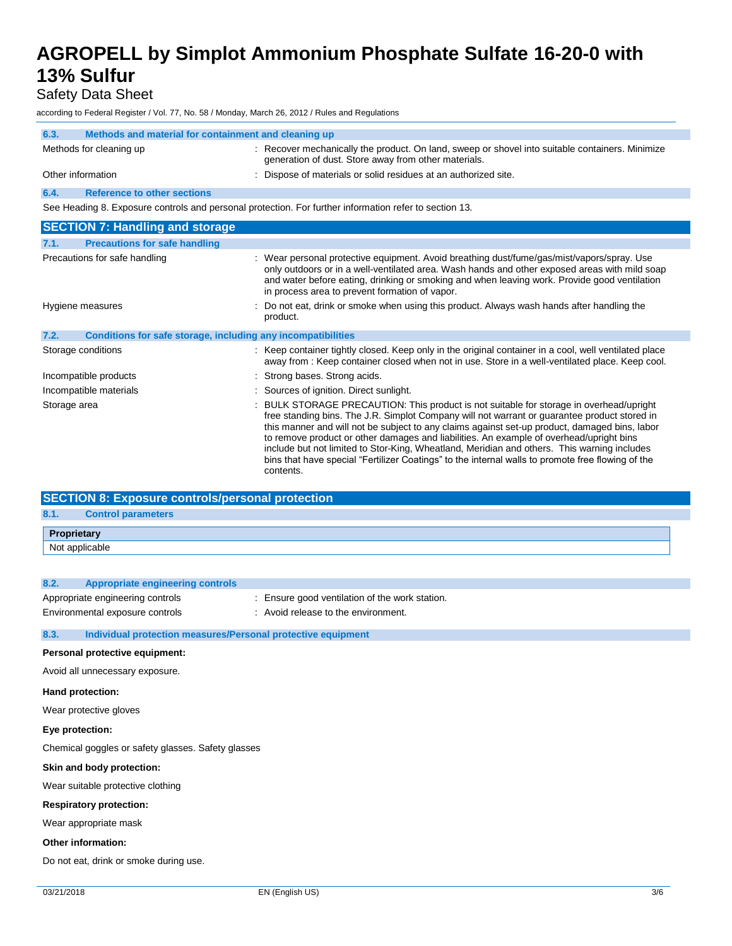Safety Data Sheet

according to Federal Register / Vol. 77, No. 58 / Monday, March 26, 2012 / Rules and Regulations

| 6.3. | Methods and material for containment and cleaning up |                                                                                                                                                         |
|------|------------------------------------------------------|---------------------------------------------------------------------------------------------------------------------------------------------------------|
|      | Methods for cleaning up                              | : Recover mechanically the product. On land, sweep or shovel into suitable containers. Minimize<br>generation of dust. Store away from other materials. |
|      | Other information                                    | : Dispose of materials or solid residues at an authorized site.                                                                                         |
| 6.4. | <b>Reference to other sections</b>                   |                                                                                                                                                         |

See Heading 8. Exposure controls and personal protection. For further information refer to section 13.

| <b>SECTION 7: Handling and storage</b>                               |                                                                                                                                                                                                                                                                                                                                                                                                                                                                                                                                                                                                      |
|----------------------------------------------------------------------|------------------------------------------------------------------------------------------------------------------------------------------------------------------------------------------------------------------------------------------------------------------------------------------------------------------------------------------------------------------------------------------------------------------------------------------------------------------------------------------------------------------------------------------------------------------------------------------------------|
| <b>Precautions for safe handling</b><br>7.1.                         |                                                                                                                                                                                                                                                                                                                                                                                                                                                                                                                                                                                                      |
| Precautions for safe handling                                        | : Wear personal protective equipment. Avoid breathing dust/fume/gas/mist/vapors/spray. Use<br>only outdoors or in a well-ventilated area. Wash hands and other exposed areas with mild soap<br>and water before eating, drinking or smoking and when leaving work. Provide good ventilation<br>in process area to prevent formation of vapor.                                                                                                                                                                                                                                                        |
| Hygiene measures                                                     | : Do not eat, drink or smoke when using this product. Always wash hands after handling the<br>product.                                                                                                                                                                                                                                                                                                                                                                                                                                                                                               |
| 7.2.<br>Conditions for safe storage, including any incompatibilities |                                                                                                                                                                                                                                                                                                                                                                                                                                                                                                                                                                                                      |
| Storage conditions                                                   | : Keep container tightly closed. Keep only in the original container in a cool, well ventilated place<br>away from : Keep container closed when not in use. Store in a well-ventilated place. Keep cool.                                                                                                                                                                                                                                                                                                                                                                                             |
| Incompatible products                                                | : Strong bases. Strong acids.                                                                                                                                                                                                                                                                                                                                                                                                                                                                                                                                                                        |
| Incompatible materials                                               | : Sources of ignition. Direct sunlight.                                                                                                                                                                                                                                                                                                                                                                                                                                                                                                                                                              |
| Storage area                                                         | : BULK STORAGE PRECAUTION: This product is not suitable for storage in overhead/upright<br>free standing bins. The J.R. Simplot Company will not warrant or guarantee product stored in<br>this manner and will not be subject to any claims against set-up product, damaged bins, labor<br>to remove product or other damages and liabilities. An example of overhead/upright bins<br>include but not limited to Stor-King, Wheatland, Meridian and others. This warning includes<br>bins that have special "Fertilizer Coatings" to the internal walls to promote free flowing of the<br>contents. |

| <b>SECTION 8: Exposure controls/personal protection</b> |                           |  |
|---------------------------------------------------------|---------------------------|--|
| 8.1.                                                    | <b>Control parameters</b> |  |
| Proprietary                                             |                           |  |
| Not applicable                                          |                           |  |

| 8.2.                            | <b>Appropriate engineering controls</b>                      |                                                |
|---------------------------------|--------------------------------------------------------------|------------------------------------------------|
|                                 | Appropriate engineering controls                             | : Ensure good ventilation of the work station. |
|                                 | Environmental exposure controls                              | : Avoid release to the environment.            |
|                                 |                                                              |                                                |
| 8.3.                            | Individual protection measures/Personal protective equipment |                                                |
| Personal protective equipment:  |                                                              |                                                |
| Avoid all unnecessary exposure. |                                                              |                                                |
| Hand protection:                |                                                              |                                                |
| Wear protective gloves          |                                                              |                                                |

**Eye protection:**

Chemical goggles or safety glasses. Safety glasses

**Skin and body protection:**

Wear suitable protective clothing

**Respiratory protection:**

Wear appropriate mask

**Other information:**

Do not eat, drink or smoke during use.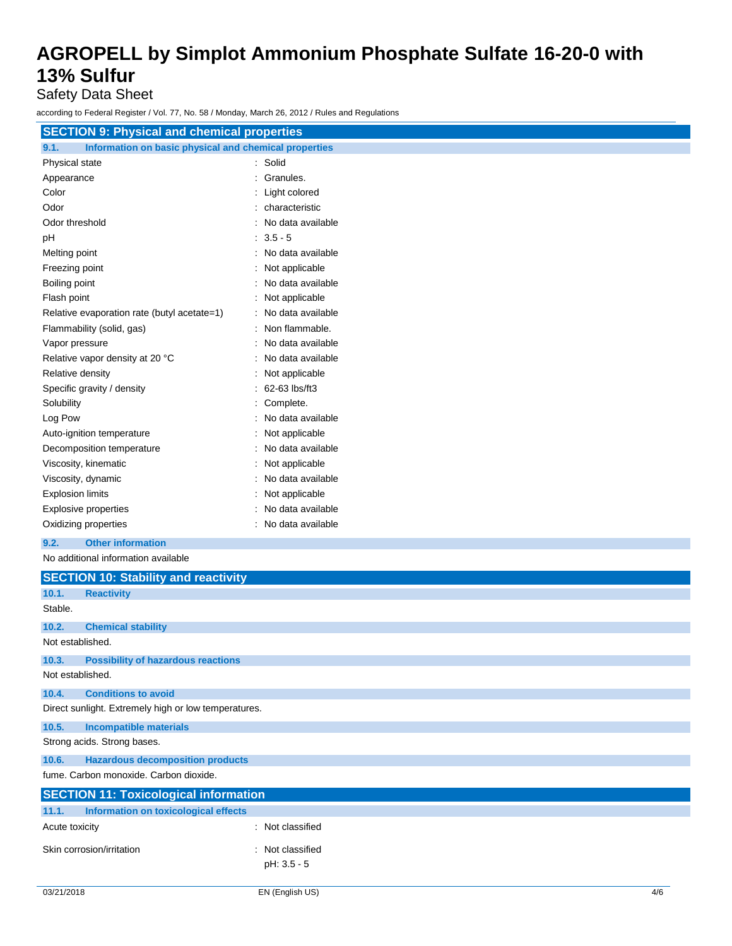Safety Data Sheet

according to Federal Register / Vol. 77, No. 58 / Monday, March 26, 2012 / Rules and Regulations

| iccording to Federal Register / Vol. 77, NO. 00 / Monday, March 20, 2012 / Rules and Regulations |                     |  |  |
|--------------------------------------------------------------------------------------------------|---------------------|--|--|
| <b>SECTION 9: Physical and chemical properties</b>                                               |                     |  |  |
| Information on basic physical and chemical properties<br>9.1.                                    |                     |  |  |
| Physical state                                                                                   | : Solid             |  |  |
| Appearance                                                                                       | : Granules.         |  |  |
| Color                                                                                            | : Light colored     |  |  |
| Odor                                                                                             | : characteristic    |  |  |
| Odor threshold                                                                                   | No data available   |  |  |
| pH                                                                                               | $3.5 - 5$           |  |  |
| Melting point                                                                                    | No data available   |  |  |
| Freezing point                                                                                   | Not applicable      |  |  |
| Boiling point                                                                                    | No data available   |  |  |
| Flash point                                                                                      | Not applicable      |  |  |
| Relative evaporation rate (butyl acetate=1)                                                      | No data available   |  |  |
| Flammability (solid, gas)                                                                        | Non flammable.      |  |  |
| Vapor pressure                                                                                   | : No data available |  |  |
| Relative vapor density at 20 °C                                                                  | : No data available |  |  |
| Relative density                                                                                 | Not applicable      |  |  |
| Specific gravity / density                                                                       | 62-63 lbs/ft3       |  |  |
| Solubility                                                                                       | Complete.           |  |  |
| Log Pow                                                                                          | No data available   |  |  |
| Auto-ignition temperature                                                                        | Not applicable      |  |  |
| Decomposition temperature                                                                        | No data available   |  |  |
| Viscosity, kinematic                                                                             | Not applicable      |  |  |
| Viscosity, dynamic                                                                               | : No data available |  |  |
| <b>Explosion limits</b>                                                                          | Not applicable      |  |  |
| Explosive properties                                                                             | No data available   |  |  |
| Oxidizing properties                                                                             | No data available   |  |  |
| <b>Other information</b><br>9.2.                                                                 |                     |  |  |
| No additional information available                                                              |                     |  |  |
| <b>SECTION 10: Stability and reactivity</b>                                                      |                     |  |  |
| 10.1.<br><b>Reactivity</b>                                                                       |                     |  |  |
| Stable.                                                                                          |                     |  |  |
| 10.2.<br><b>Chemical stability</b>                                                               |                     |  |  |
| Not established.                                                                                 |                     |  |  |
| 10.3.<br><b>Possibility of hazardous reactions</b>                                               |                     |  |  |
| Not established.                                                                                 |                     |  |  |
| <b>Conditions to avoid</b><br>10.4.                                                              |                     |  |  |
| Direct sunlight. Extremely high or low temperatures.                                             |                     |  |  |

**10.5. Incompatible materials**

Strong acids. Strong bases.

**10.6. Hazardous decomposition products**

fume. Carbon monoxide. Carbon dioxide.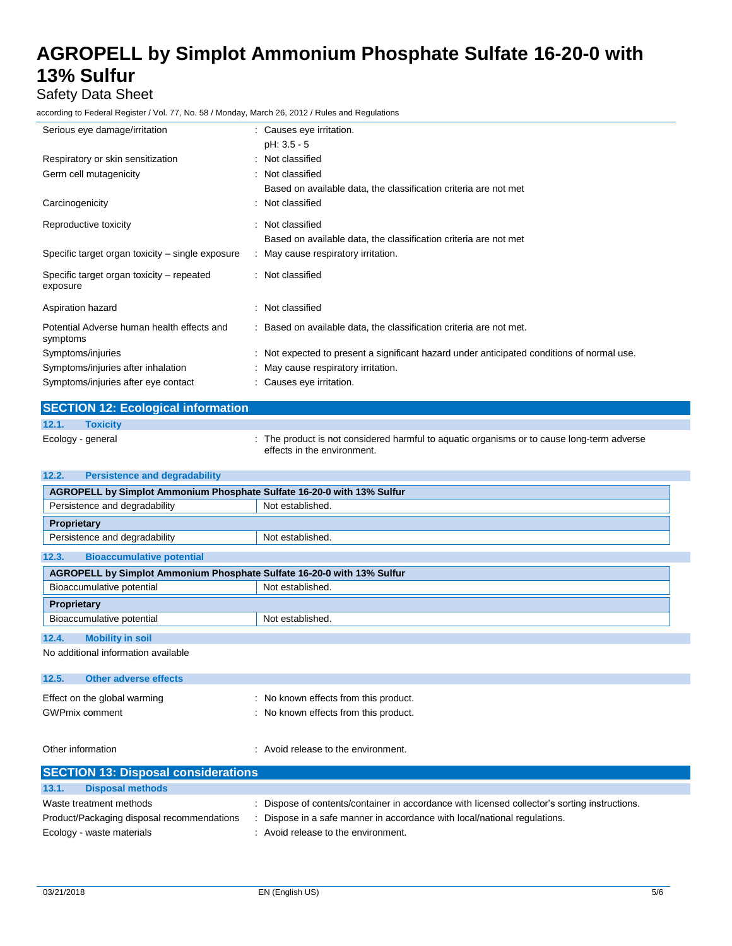### Safety Data Sheet

according to Federal Register / Vol. 77, No. 58 / Monday, March 26, 2012 / Rules and Regulations

| Serious eye damage/irritation                          | : Causes eye irritation.                                                                   |
|--------------------------------------------------------|--------------------------------------------------------------------------------------------|
|                                                        | pH: 3.5 - 5                                                                                |
| Respiratory or skin sensitization                      | : Not classified                                                                           |
| Germ cell mutagenicity                                 | : Not classified                                                                           |
|                                                        | Based on available data, the classification criteria are not met                           |
| Carcinogenicity                                        | : Not classified                                                                           |
| Reproductive toxicity                                  | : Not classified                                                                           |
|                                                        | Based on available data, the classification criteria are not met                           |
| Specific target organ toxicity – single exposure       | : May cause respiratory irritation.                                                        |
|                                                        |                                                                                            |
| Specific target organ toxicity – repeated<br>exposure  | : Not classified                                                                           |
| Aspiration hazard                                      | : Not classified                                                                           |
| Potential Adverse human health effects and<br>symptoms | : Based on available data, the classification criteria are not met.                        |
| Symptoms/injuries                                      | : Not expected to present a significant hazard under anticipated conditions of normal use. |
| Symptoms/injuries after inhalation                     | : May cause respiratory irritation.                                                        |
| Symptoms/injuries after eye contact                    | : Causes eye irritation.                                                                   |
|                                                        |                                                                                            |

|       | <b>SECTION 12: Ecological information</b> |                                                                                                                           |
|-------|-------------------------------------------|---------------------------------------------------------------------------------------------------------------------------|
| 12.1. | <b>Toxicity</b>                           |                                                                                                                           |
|       | Ecology - general                         | : The product is not considered harmful to aguatic organisms or to cause long-term adverse<br>effects in the environment. |

| 12.2.<br><b>Persistence and degradability</b>                          |                  |  |  |
|------------------------------------------------------------------------|------------------|--|--|
| AGROPELL by Simplot Ammonium Phosphate Sulfate 16-20-0 with 13% Sulfur |                  |  |  |
| Persistence and degradability<br>Not established.                      |                  |  |  |
| Proprietary                                                            |                  |  |  |
| Persistence and degradability                                          | Not established. |  |  |
| 12.3.<br><b>Bioaccumulative potential</b>                              |                  |  |  |
| AGROPELL by Simplot Ammonium Phosphate Sulfate 16-20-0 with 13% Sulfur |                  |  |  |
| Bioaccumulative potential                                              | Not established. |  |  |
| Proprietary                                                            |                  |  |  |
| Bioaccumulative potential<br>Not established.                          |                  |  |  |
| 12.4.<br><b>Mobility in soil</b>                                       |                  |  |  |
| No additional information available                                    |                  |  |  |
|                                                                        |                  |  |  |
| 12.5.<br>Other adverse effects                                         |                  |  |  |

| Effect on the global warming | : No known effects from this product. |
|------------------------------|---------------------------------------|
| <b>GWPmix comment</b>        | No known effects from this product.   |

Other information  $\cdot$  Avoid release to the environment.

| <b>SECTION 13: Disposal considerations</b> |                                                                                               |  |  |  |  |  |
|--------------------------------------------|-----------------------------------------------------------------------------------------------|--|--|--|--|--|
|                                            |                                                                                               |  |  |  |  |  |
| 13.1.<br><b>Disposal methods</b>           |                                                                                               |  |  |  |  |  |
| Waste treatment methods                    | : Dispose of contents/container in accordance with licensed collector's sorting instructions. |  |  |  |  |  |
| Product/Packaging disposal recommendations | Dispose in a safe manner in accordance with local/national regulations.                       |  |  |  |  |  |
| Ecology - waste materials                  | : Avoid release to the environment.                                                           |  |  |  |  |  |